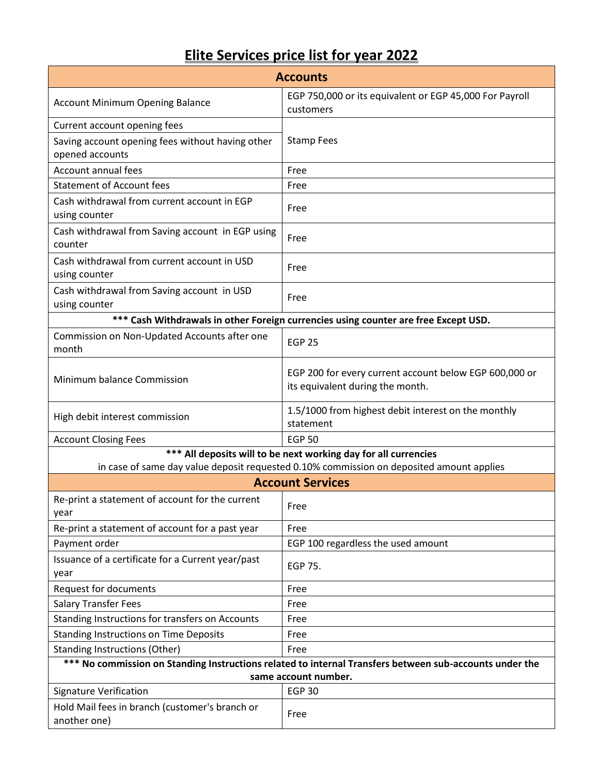## **Elite Services price list for year 2022**

| <b>Accounts</b>                                                                                                                 |                                                                                            |  |
|---------------------------------------------------------------------------------------------------------------------------------|--------------------------------------------------------------------------------------------|--|
| <b>Account Minimum Opening Balance</b>                                                                                          | EGP 750,000 or its equivalent or EGP 45,000 For Payroll<br>customers                       |  |
| Current account opening fees                                                                                                    |                                                                                            |  |
| Saving account opening fees without having other<br>opened accounts                                                             | <b>Stamp Fees</b>                                                                          |  |
| Account annual fees                                                                                                             | Free                                                                                       |  |
| <b>Statement of Account fees</b>                                                                                                | Free                                                                                       |  |
| Cash withdrawal from current account in EGP<br>using counter                                                                    | Free                                                                                       |  |
| Cash withdrawal from Saving account in EGP using<br>counter                                                                     | Free                                                                                       |  |
| Cash withdrawal from current account in USD<br>using counter                                                                    | Free                                                                                       |  |
| Cash withdrawal from Saving account in USD<br>using counter                                                                     | Free                                                                                       |  |
|                                                                                                                                 | *** Cash Withdrawals in other Foreign currencies using counter are free Except USD.        |  |
| Commission on Non-Updated Accounts after one<br>month                                                                           | <b>EGP 25</b>                                                                              |  |
| Minimum balance Commission                                                                                                      | EGP 200 for every current account below EGP 600,000 or<br>its equivalent during the month. |  |
| High debit interest commission                                                                                                  | 1.5/1000 from highest debit interest on the monthly<br>statement                           |  |
| <b>Account Closing Fees</b>                                                                                                     | <b>EGP 50</b>                                                                              |  |
| *** All deposits will to be next working day for all currencies                                                                 |                                                                                            |  |
|                                                                                                                                 | in case of same day value deposit requested 0.10% commission on deposited amount applies   |  |
|                                                                                                                                 | <b>Account Services</b>                                                                    |  |
| Re-print a statement of account for the current<br>year                                                                         | Free                                                                                       |  |
| Re-print a statement of account for a past year                                                                                 | Free                                                                                       |  |
| Payment order                                                                                                                   | EGP 100 regardless the used amount                                                         |  |
| Issuance of a certificate for a Current year/past<br>year                                                                       | EGP 75.                                                                                    |  |
| Request for documents                                                                                                           | Free                                                                                       |  |
| <b>Salary Transfer Fees</b>                                                                                                     | Free                                                                                       |  |
| Standing Instructions for transfers on Accounts                                                                                 | Free                                                                                       |  |
| <b>Standing Instructions on Time Deposits</b>                                                                                   | Free                                                                                       |  |
| <b>Standing Instructions (Other)</b>                                                                                            | Free                                                                                       |  |
| *** No commission on Standing Instructions related to internal Transfers between sub-accounts under the<br>same account number. |                                                                                            |  |
| <b>Signature Verification</b>                                                                                                   | <b>EGP 30</b>                                                                              |  |
| Hold Mail fees in branch (customer's branch or                                                                                  |                                                                                            |  |
| another one)                                                                                                                    | Free                                                                                       |  |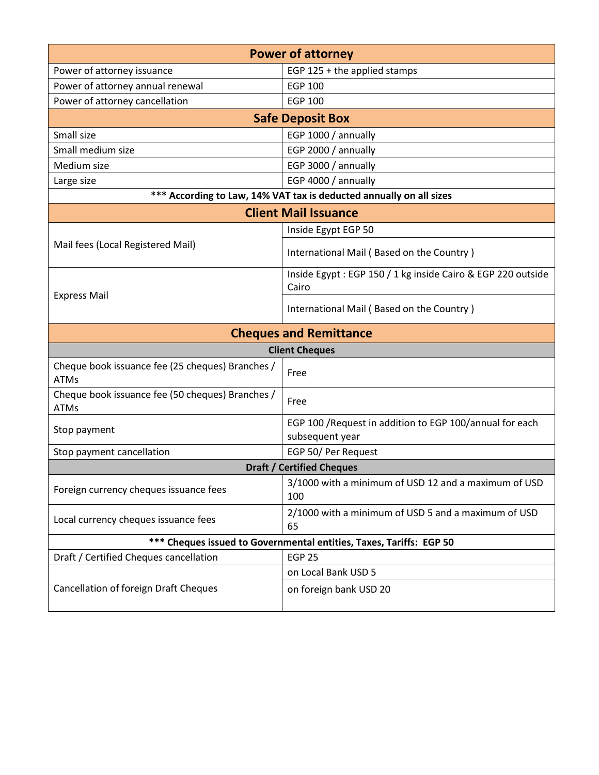| <b>Power of attorney</b>                                            |                                                                             |  |
|---------------------------------------------------------------------|-----------------------------------------------------------------------------|--|
| Power of attorney issuance                                          | EGP 125 + the applied stamps                                                |  |
| Power of attorney annual renewal                                    | <b>EGP 100</b>                                                              |  |
| Power of attorney cancellation                                      | <b>EGP 100</b>                                                              |  |
|                                                                     | <b>Safe Deposit Box</b>                                                     |  |
| Small size                                                          | EGP 1000 / annually                                                         |  |
| Small medium size                                                   | EGP 2000 / annually                                                         |  |
| Medium size                                                         | EGP 3000 / annually                                                         |  |
| Large size                                                          | EGP 4000 / annually                                                         |  |
| *** According to Law, 14% VAT tax is deducted annually on all sizes |                                                                             |  |
|                                                                     | <b>Client Mail Issuance</b>                                                 |  |
|                                                                     | Inside Egypt EGP 50                                                         |  |
| Mail fees (Local Registered Mail)                                   | International Mail (Based on the Country)                                   |  |
|                                                                     | Inside Egypt: EGP 150 / 1 kg inside Cairo & EGP 220 outside<br>Cairo        |  |
| <b>Express Mail</b>                                                 | International Mail (Based on the Country)                                   |  |
|                                                                     | <b>Cheques and Remittance</b>                                               |  |
| <b>Client Cheques</b>                                               |                                                                             |  |
| Cheque book issuance fee (25 cheques) Branches /<br><b>ATMs</b>     | Free                                                                        |  |
| Cheque book issuance fee (50 cheques) Branches /<br><b>ATMs</b>     | Free                                                                        |  |
| Stop payment                                                        | EGP 100 / Request in addition to EGP 100/annual for each<br>subsequent year |  |
| Stop payment cancellation                                           | EGP 50/ Per Request                                                         |  |
| <b>Draft / Certified Cheques</b>                                    |                                                                             |  |
| Foreign currency cheques issuance fees                              | 3/1000 with a minimum of USD 12 and a maximum of USD<br>100                 |  |
| Local currency cheques issuance fees                                | 2/1000 with a minimum of USD 5 and a maximum of USD<br>65                   |  |
| *** Cheques issued to Governmental entities, Taxes, Tariffs: EGP 50 |                                                                             |  |
| Draft / Certified Cheques cancellation                              | <b>EGP 25</b>                                                               |  |
|                                                                     | on Local Bank USD 5                                                         |  |
| Cancellation of foreign Draft Cheques                               | on foreign bank USD 20                                                      |  |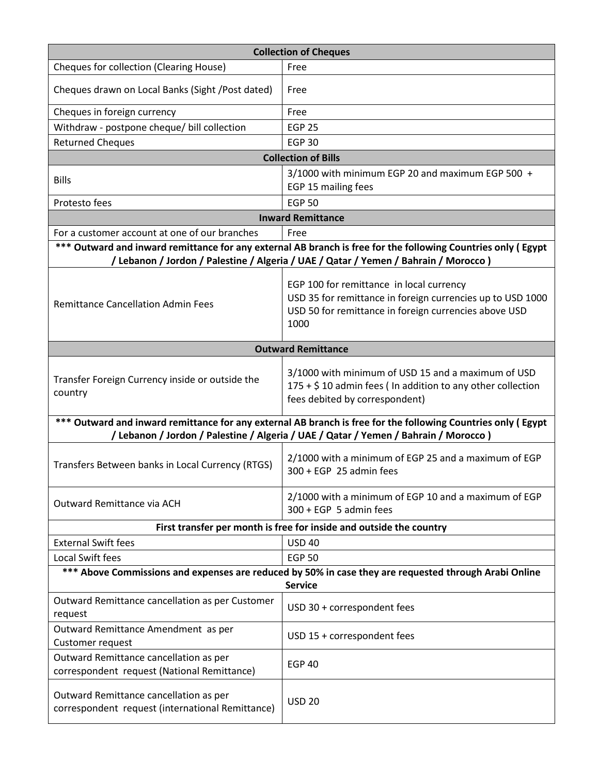| <b>Collection of Cheques</b>                                                                                                                                                                         |                                                                                                                                                                         |  |
|------------------------------------------------------------------------------------------------------------------------------------------------------------------------------------------------------|-------------------------------------------------------------------------------------------------------------------------------------------------------------------------|--|
| Cheques for collection (Clearing House)                                                                                                                                                              | Free                                                                                                                                                                    |  |
| Cheques drawn on Local Banks (Sight /Post dated)                                                                                                                                                     | Free                                                                                                                                                                    |  |
| Cheques in foreign currency                                                                                                                                                                          | Free                                                                                                                                                                    |  |
| Withdraw - postpone cheque/ bill collection                                                                                                                                                          | <b>EGP 25</b>                                                                                                                                                           |  |
| <b>Returned Cheques</b>                                                                                                                                                                              | <b>EGP 30</b>                                                                                                                                                           |  |
|                                                                                                                                                                                                      | <b>Collection of Bills</b>                                                                                                                                              |  |
| <b>Bills</b>                                                                                                                                                                                         | 3/1000 with minimum EGP 20 and maximum EGP 500 +<br>EGP 15 mailing fees                                                                                                 |  |
| Protesto fees                                                                                                                                                                                        | <b>EGP 50</b>                                                                                                                                                           |  |
|                                                                                                                                                                                                      | <b>Inward Remittance</b>                                                                                                                                                |  |
| For a customer account at one of our branches                                                                                                                                                        | Free                                                                                                                                                                    |  |
| *** Outward and inward remittance for any external AB branch is free for the following Countries only (Egypt<br>/ Lebanon / Jordon / Palestine / Algeria / UAE / Qatar / Yemen / Bahrain / Morocco)  |                                                                                                                                                                         |  |
| <b>Remittance Cancellation Admin Fees</b>                                                                                                                                                            | EGP 100 for remittance in local currency<br>USD 35 for remittance in foreign currencies up to USD 1000<br>USD 50 for remittance in foreign currencies above USD<br>1000 |  |
|                                                                                                                                                                                                      | <b>Outward Remittance</b>                                                                                                                                               |  |
| Transfer Foreign Currency inside or outside the<br>country                                                                                                                                           | 3/1000 with minimum of USD 15 and a maximum of USD<br>175 + \$10 admin fees ( In addition to any other collection<br>fees debited by correspondent)                     |  |
| *** Outward and inward remittance for any external AB branch is free for the following Countries only (Egypt<br>/ Lebanon / Jordon / Palestine / Algeria / UAE / Qatar / Yemen / Bahrain / Morocco ) |                                                                                                                                                                         |  |
| Transfers Between banks in Local Currency (RTGS)                                                                                                                                                     | 2/1000 with a minimum of EGP 25 and a maximum of EGP<br>$300 + EGP$ 25 admin fees                                                                                       |  |
| Outward Remittance via ACH                                                                                                                                                                           | 2/1000 with a minimum of EGP 10 and a maximum of EGP<br>300 + EGP 5 admin fees                                                                                          |  |
|                                                                                                                                                                                                      | First transfer per month is free for inside and outside the country                                                                                                     |  |
| <b>External Swift fees</b>                                                                                                                                                                           | <b>USD 40</b>                                                                                                                                                           |  |
| <b>Local Swift fees</b>                                                                                                                                                                              | <b>EGP 50</b>                                                                                                                                                           |  |
| *** Above Commissions and expenses are reduced by 50% in case they are requested through Arabi Online<br><b>Service</b>                                                                              |                                                                                                                                                                         |  |
| Outward Remittance cancellation as per Customer<br>request                                                                                                                                           | USD 30 + correspondent fees                                                                                                                                             |  |
| Outward Remittance Amendment as per<br>Customer request                                                                                                                                              | USD 15 + correspondent fees                                                                                                                                             |  |
| Outward Remittance cancellation as per<br>correspondent request (National Remittance)                                                                                                                | <b>EGP 40</b>                                                                                                                                                           |  |
| Outward Remittance cancellation as per<br>correspondent request (international Remittance)                                                                                                           | <b>USD 20</b>                                                                                                                                                           |  |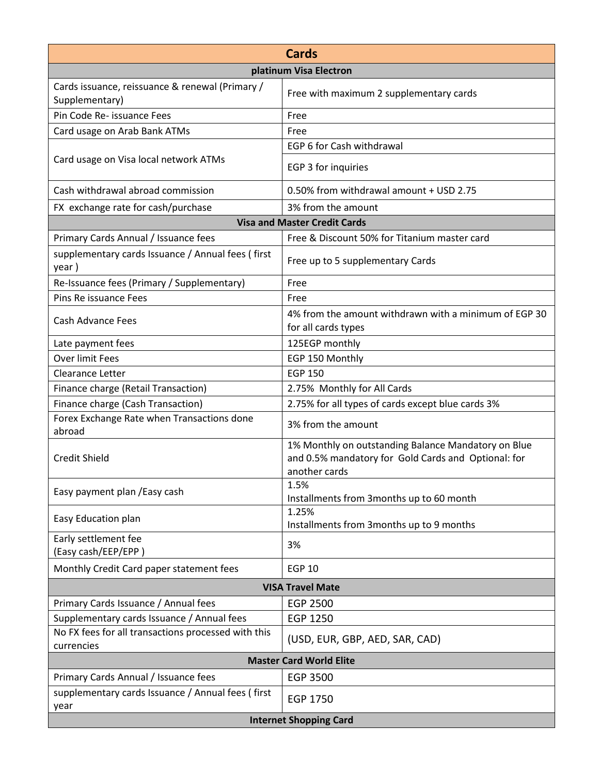| <b>Cards</b>                                                      |                                                                                                                             |  |  |
|-------------------------------------------------------------------|-----------------------------------------------------------------------------------------------------------------------------|--|--|
| platinum Visa Electron                                            |                                                                                                                             |  |  |
| Cards issuance, reissuance & renewal (Primary /<br>Supplementary) | Free with maximum 2 supplementary cards                                                                                     |  |  |
| Pin Code Re- issuance Fees                                        | Free                                                                                                                        |  |  |
| Card usage on Arab Bank ATMs                                      | Free                                                                                                                        |  |  |
|                                                                   | EGP 6 for Cash withdrawal                                                                                                   |  |  |
| Card usage on Visa local network ATMs                             | EGP 3 for inquiries                                                                                                         |  |  |
| Cash withdrawal abroad commission                                 | 0.50% from withdrawal amount + USD 2.75                                                                                     |  |  |
| FX exchange rate for cash/purchase                                | 3% from the amount                                                                                                          |  |  |
|                                                                   | <b>Visa and Master Credit Cards</b>                                                                                         |  |  |
| Primary Cards Annual / Issuance fees                              | Free & Discount 50% for Titanium master card                                                                                |  |  |
| supplementary cards Issuance / Annual fees (first<br>year)        | Free up to 5 supplementary Cards                                                                                            |  |  |
| Re-Issuance fees (Primary / Supplementary)                        | Free                                                                                                                        |  |  |
| Pins Re issuance Fees<br>Free                                     |                                                                                                                             |  |  |
| Cash Advance Fees                                                 | 4% from the amount withdrawn with a minimum of EGP 30<br>for all cards types                                                |  |  |
| Late payment fees                                                 | 125EGP monthly                                                                                                              |  |  |
| Over limit Fees                                                   | EGP 150 Monthly                                                                                                             |  |  |
| Clearance Letter                                                  | <b>EGP 150</b>                                                                                                              |  |  |
| Finance charge (Retail Transaction)                               | 2.75% Monthly for All Cards                                                                                                 |  |  |
| Finance charge (Cash Transaction)                                 | 2.75% for all types of cards except blue cards 3%                                                                           |  |  |
| Forex Exchange Rate when Transactions done<br>abroad              | 3% from the amount                                                                                                          |  |  |
| <b>Credit Shield</b>                                              | 1% Monthly on outstanding Balance Mandatory on Blue<br>and 0.5% mandatory for Gold Cards and Optional: for<br>another cards |  |  |
| Easy payment plan / Easy cash                                     | 1.5%<br>Installments from 3months up to 60 month                                                                            |  |  |
| Easy Education plan                                               | 1.25%<br>Installments from 3months up to 9 months                                                                           |  |  |
| Early settlement fee<br>(Easy cash/EEP/EPP)                       | 3%                                                                                                                          |  |  |
| Monthly Credit Card paper statement fees                          | <b>EGP 10</b>                                                                                                               |  |  |
| <b>VISA Travel Mate</b>                                           |                                                                                                                             |  |  |
| Primary Cards Issuance / Annual fees                              | <b>EGP 2500</b>                                                                                                             |  |  |
| Supplementary cards Issuance / Annual fees                        | EGP 1250                                                                                                                    |  |  |
| No FX fees for all transactions processed with this<br>currencies | (USD, EUR, GBP, AED, SAR, CAD)                                                                                              |  |  |
| <b>Master Card World Elite</b>                                    |                                                                                                                             |  |  |
| Primary Cards Annual / Issuance fees                              | EGP 3500                                                                                                                    |  |  |
| supplementary cards Issuance / Annual fees (first<br>year         | EGP 1750                                                                                                                    |  |  |
| <b>Internet Shopping Card</b>                                     |                                                                                                                             |  |  |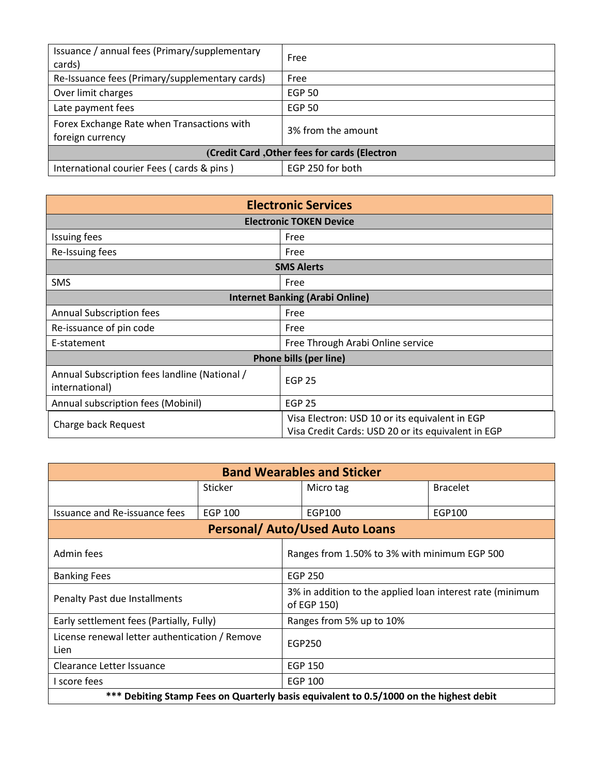| Issuance / annual fees (Primary/supplementary<br>cards)        | Free               |  |
|----------------------------------------------------------------|--------------------|--|
| Re-Issuance fees (Primary/supplementary cards)                 | Free               |  |
| Over limit charges                                             | <b>EGP 50</b>      |  |
| Late payment fees                                              | <b>EGP 50</b>      |  |
| Forex Exchange Rate when Transactions with<br>foreign currency | 3% from the amount |  |
| (Credit Card, Other fees for cards (Electron                   |                    |  |
| International courier Fees (cards & pins)                      | EGP 250 for both   |  |

| <b>Electronic Services</b>                                      |                                                                                                      |  |
|-----------------------------------------------------------------|------------------------------------------------------------------------------------------------------|--|
| <b>Electronic TOKEN Device</b>                                  |                                                                                                      |  |
| <b>Issuing fees</b>                                             | Free                                                                                                 |  |
| Re-Issuing fees                                                 | Free                                                                                                 |  |
| <b>SMS Alerts</b>                                               |                                                                                                      |  |
| <b>SMS</b>                                                      | Free                                                                                                 |  |
| <b>Internet Banking (Arabi Online)</b>                          |                                                                                                      |  |
| <b>Annual Subscription fees</b>                                 | Free                                                                                                 |  |
| Re-issuance of pin code                                         | Free                                                                                                 |  |
| E-statement                                                     | Free Through Arabi Online service                                                                    |  |
| Phone bills (per line)                                          |                                                                                                      |  |
| Annual Subscription fees landline (National /<br>international) | <b>EGP 25</b>                                                                                        |  |
| Annual subscription fees (Mobinil)                              | <b>EGP 25</b>                                                                                        |  |
| Charge back Request                                             | Visa Electron: USD 10 or its equivalent in EGP<br>Visa Credit Cards: USD 20 or its equivalent in EGP |  |

| <b>Band Wearables and Sticker</b>                                                      |                |                          |                                                                          |                 |
|----------------------------------------------------------------------------------------|----------------|--------------------------|--------------------------------------------------------------------------|-----------------|
|                                                                                        | Sticker        |                          | Micro tag                                                                | <b>Bracelet</b> |
| Issuance and Re-issuance fees                                                          | <b>EGP 100</b> |                          | EGP100                                                                   | EGP100          |
| <b>Personal/ Auto/Used Auto Loans</b>                                                  |                |                          |                                                                          |                 |
| Admin fees                                                                             |                |                          | Ranges from 1.50% to 3% with minimum EGP 500                             |                 |
| <b>Banking Fees</b>                                                                    |                |                          | <b>EGP 250</b>                                                           |                 |
| Penalty Past due Installments                                                          |                |                          | 3% in addition to the applied loan interest rate (minimum<br>of EGP 150) |                 |
| Early settlement fees (Partially, Fully)                                               |                | Ranges from 5% up to 10% |                                                                          |                 |
| License renewal letter authentication / Remove<br>Lien                                 |                | EGP250                   |                                                                          |                 |
| Clearance Letter Issuance                                                              |                | <b>EGP 150</b>           |                                                                          |                 |
| I score fees                                                                           |                |                          | EGP 100                                                                  |                 |
| *** Debiting Stamp Fees on Quarterly basis equivalent to 0.5/1000 on the highest debit |                |                          |                                                                          |                 |